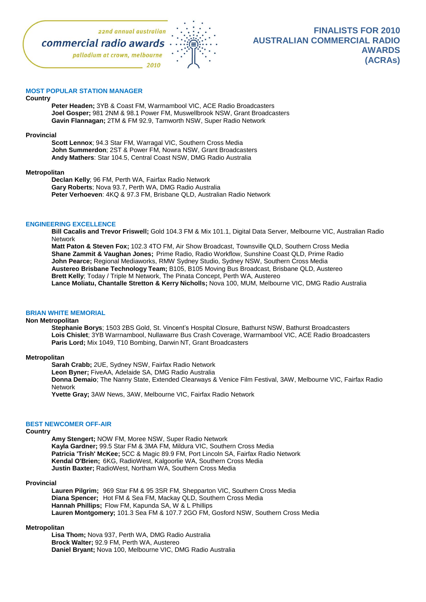

# **MOST POPULAR STATION MANAGER**

#### **Country**

**Peter Headen;** 3YB & Coast FM, Warrnambool VIC, ACE Radio Broadcasters **Joel Gosper;** 981 2NM & 98.1 Power FM, Muswellbrook NSW, Grant Broadcasters **Gavin Flannagan;** 2TM & FM 92.9, Tamworth NSW, Super Radio Network

### **Provincial**

**Scott Lennox**; 94.3 Star FM, Warragal VIC, Southern Cross Media **John Summerdon**; 2ST & Power FM, Nowra NSW, Grant Broadcasters **Andy Mathers**: Star 104.5, Central Coast NSW, DMG Radio Australia

### **Metropolitan**

**Declan Kelly**; 96 FM, Perth WA, Fairfax Radio Network **Gary Roberts**; Nova 93.7, Perth WA, DMG Radio Australia **Peter Verhoeven**: 4KQ & 97.3 FM, Brisbane QLD, Australian Radio Network

## **ENGINEERING EXCELLENCE**

**Bill Cacalis and Trevor Friswell;** Gold 104.3 FM & Mix 101.1, Digital Data Server, Melbourne VIC, Australian Radio Network

**Matt Paton & Steven Fox;** 102.3 4TO FM, Air Show Broadcast, Townsville QLD, Southern Cross Media **Shane Zammit & Vaughan Jones;** Prime Radio, Radio Workflow, Sunshine Coast QLD, Prime Radio **John Pearce;** Regional Mediaworks, RMW Sydney Studio, Sydney NSW, Southern Cross Media **Austereo Brisbane Technology Team;** B105, B105 Moving Bus Broadcast, Brisbane QLD, Austereo **Brett Kelly**; Today / Triple M Network, The Pinata Concept, Perth WA, Austereo **Lance Moliatu, Chantalle Stretton & Kerry Nicholls;** Nova 100, MUM, Melbourne VIC, DMG Radio Australia

### **BRIAN WHITE MEMORIAL**

### **Non Metropolitan**

**Stephanie Borys**; 1503 2BS Gold, St. Vincent's Hospital Closure, Bathurst NSW, Bathurst Broadcasters **Lois Chislet**; 3YB Warrnambool, Nullawarre Bus Crash Coverage, Warrnambool VIC, ACE Radio Broadcasters **Paris Lord;** Mix 1049, T10 Bombing, Darwin NT, Grant Broadcasters

### **Metropolitan**

**Sarah Crabb;** 2UE, Sydney NSW, Fairfax Radio Network

**Leon Byner;** FiveAA, Adelaide SA, DMG Radio Australia

**Donna Demaio**; The Nanny State, Extended Clearways & Venice Film Festival, 3AW, Melbourne VIC, Fairfax Radio Network

**Yvette Gray;** 3AW News, 3AW, Melbourne VIC, Fairfax Radio Network

### **BEST NEWCOMER OFF-AIR**

### **Country**

**Amy Stengert;** NOW FM, Moree NSW, Super Radio Network **Kayla Gardner;** 99.5 Star FM & 3MA FM, Mildura VIC, Southern Cross Media **Patricia 'Trish' McKee;** 5CC & Magic 89.9 FM, Port Lincoln SA, Fairfax Radio Network **Kendal O'Brien;** 6KG, RadioWest, Kalgoorlie WA, Southern Cross Media **Justin Baxter;** RadioWest, Northam WA, Southern Cross Media

### **Provincial**

**Lauren Pilgrim;** 969 Star FM & 95 3SR FM, Shepparton VIC, Southern Cross Media **Diana Spencer;** Hot FM & Sea FM, Mackay QLD, Southern Cross Media **Hannah Phillips;** Flow FM, Kapunda SA, W & L Phillips **Lauren Montgomery;** 101.3 Sea FM & 107.7 2GO FM, Gosford NSW, Southern Cross Media

## **Metropolitan**

**Lisa Thom;** Nova 937, Perth WA, DMG Radio Australia **Brock Walter;** 92.9 FM, Perth WA, Austereo **Daniel Bryant;** Nova 100, Melbourne VIC, DMG Radio Australia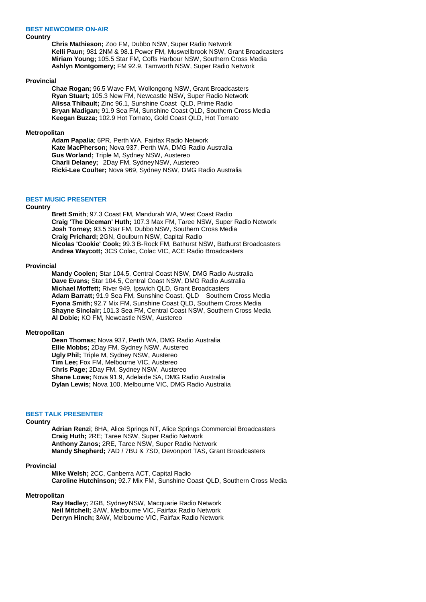## **BEST NEWCOMER ON-AIR**

## **Country**

**Chris Mathieson;** Zoo FM, Dubbo NSW, Super Radio Network **Kelli Paun;** 981 2NM & 98.1 Power FM, Muswellbrook NSW, Grant Broadcasters **Miriam Young;** 105.5 Star FM, Coffs Harbour NSW, Southern Cross Media **Ashlyn Montgomery;** FM 92.9, Tamworth NSW, Super Radio Network

### **Provincial**

**Chae Rogan;** 96.5 Wave FM, Wollongong NSW, Grant Broadcasters **Ryan Stuart;** 105.3 New FM, Newcastle NSW, Super Radio Network **Alissa Thibault;** Zinc 96.1, Sunshine Coast QLD, Prime Radio **Bryan Madigan;** 91.9 Sea FM, Sunshine Coast QLD, Southern Cross Media **Keegan Buzza;** 102.9 Hot Tomato, Gold Coast QLD, Hot Tomato

#### **Metropolitan**

**Adam Papalia**; 6PR, Perth WA, Fairfax Radio Network **Kate MacPherson;** Nova 937, Perth WA, DMG Radio Australia **Gus Worland;** Triple M, Sydney NSW, Austereo **Charli Delaney;** 2Day FM, SydneyNSW, Austereo **Ricki-Lee Coulter;** Nova 969, Sydney NSW, DMG Radio Australia

## **BEST MUSIC PRESENTER**

### **Country**

**Brett Smith**; 97.3 Coast FM, Mandurah WA, West Coast Radio **Craig 'The Diceman' Huth;** 107.3 Max FM, Taree NSW, Super Radio Network **Josh Torney;** 93.5 Star FM, Dubbo NSW, Southern Cross Media **Craig Prichard;** 2GN, Goulburn NSW, Capital Radio **Nicolas 'Cookie' Cook;** 99.3 B-Rock FM, Bathurst NSW, Bathurst Broadcasters **Andrea Waycott;** 3CS Colac, Colac VIC, ACE Radio Broadcasters

#### **Provincial**

**Mandy Coolen;** Star 104.5, Central Coast NSW, DMG Radio Australia **Dave Evans;** Star 104.5, Central Coast NSW, DMG Radio Australia **Michael Moffett;** River 949, Ipswich QLD, Grant Broadcasters Adam Barratt; 91.9 Sea FM, Sunshine Coast, QLD Southern Cross Media **Fyona Smith;** 92.7 Mix FM, Sunshine Coast QLD, Southern Cross Media **Shayne Sinclair;** 101.3 Sea FM, Central Coast NSW, Southern Cross Media **Al Dobie;** KO FM, Newcastle NSW, Austereo

### **Metropolitan**

**Dean Thomas;** Nova 937, Perth WA, DMG Radio Australia **Ellie Mobbs;** 2Day FM, Sydney NSW, Austereo **Ugly Phil;** Triple M, Sydney NSW, Austereo **Tim Lee;** Fox FM, Melbourne VIC, Austereo **Chris Page;** 2Day FM, Sydney NSW, Austereo **Shane Lowe;** Nova 91.9, Adelaide SA, DMG Radio Australia **Dylan Lewis;** Nova 100, Melbourne VIC, DMG Radio Australia

## **BEST TALK PRESENTER**

# **Country**

**Adrian Renzi**; 8HA, Alice Springs NT, Alice Springs Commercial Broadcasters **Craig Huth;** 2RE; Taree NSW, Super Radio Network **Anthony Zanos;** 2RE, Taree NSW, Super Radio Network **Mandy Shepherd;** 7AD / 7BU & 7SD, Devonport TAS, Grant Broadcasters

#### **Provincial**

**Mike Welsh;** 2CC, Canberra ACT, Capital Radio **Caroline Hutchinson;** 92.7 Mix FM, Sunshine Coast QLD, Southern Cross Media

## **Metropolitan**

**Ray Hadley;** 2GB, SydneyNSW, Macquarie Radio Network **Neil Mitchell;** 3AW, Melbourne VIC, Fairfax Radio Network **Derryn Hinch;** 3AW, Melbourne VIC, Fairfax Radio Network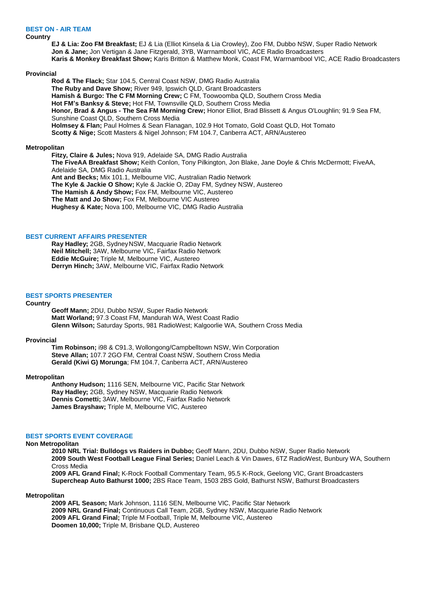## **BEST ON - AIR TEAM**

## **Country**

**EJ & Lia: Zoo FM Breakfast;** EJ & Lia (Elliot Kinsela & Lia Crowley), Zoo FM, Dubbo NSW, Super Radio Network **Jon & Jane;** Jon Vertigan & Jane Fitzgerald, 3YB, Warrnambool VIC, ACE Radio Broadcasters **Karis & Monkey Breakfast Show;** Karis Britton & Matthew Monk, Coast FM, Warrnambool VIC, ACE Radio Broadcasters

## **Provincial**

**Rod & The Flack;** Star 104.5, Central Coast NSW, DMG Radio Australia **The Ruby and Dave Show;** River 949, Ipswich QLD, Grant Broadcasters **Hamish & Burgo: The C FM Morning Crew;** C FM, Toowoomba QLD, Southern Cross Media **Hot FM's Banksy & Steve;** Hot FM, Townsville QLD, Southern Cross Media **Honor, Brad & Angus - The Sea FM Morning Crew;** Honor Elliot, Brad Blissett & Angus O'Loughlin; 91.9 Sea FM, Sunshine Coast QLD, Southern Cross Media **Holmsey & Flan;** Paul Holmes & Sean Flanagan, 102.9 Hot Tomato, Gold Coast QLD, Hot Tomato **Scotty & Nige;** Scott Masters & Nigel Johnson; FM 104.7, Canberra ACT, ARN/Austereo

### **Metropolitan**

**Fitzy, Claire & Jules;** Nova 919, Adelaide SA, DMG Radio Australia **The FiveAA Breakfast Show;** Keith Conlon, Tony Pilkington, Jon Blake, Jane Doyle & Chris McDermott; FiveAA, Adelaide SA, DMG Radio Australia **Ant and Becks;** Mix 101.1, Melbourne VIC, Australian Radio Network **The Kyle & Jackie O Show;** Kyle & Jackie O, 2Day FM, Sydney NSW, Austereo **The Hamish & Andy Show;** Fox FM, Melbourne VIC, Austereo **The Matt and Jo Show;** Fox FM, Melbourne VIC Austereo **Hughesy & Kate;** Nova 100, Melbourne VIC, DMG Radio Australia

## **BEST CURRENT AFFAIRS PRESENTER**

**Ray Hadley;** 2GB, SydneyNSW, Macquarie Radio Network **Neil Mitchell;** 3AW, Melbourne VIC, Fairfax Radio Network **Eddie McGuire;** Triple M, Melbourne VIC, Austereo **Derryn Hinch;** 3AW, Melbourne VIC, Fairfax Radio Network

## **BEST SPORTS PRESENTER**

## **Country**

**Geoff Mann;** 2DU, Dubbo NSW, Super Radio Network **Matt Worland;** 97.3 Coast FM, Mandurah WA, West Coast Radio **Glenn Wilson;** Saturday Sports, 981 RadioWest; Kalgoorlie WA, Southern Cross Media

### **Provincial**

**Tim Robinson;** i98 & C91.3, Wollongong/Campbelltown NSW, Win Corporation **Steve Allan;** 107.7 2GO FM, Central Coast NSW, Southern Cross Media **Gerald (Kiwi G) Morunga**; FM 104.7, Canberra ACT, ARN/Austereo

### **Metropolitan**

**Anthony Hudson;** 1116 SEN, Melbourne VIC, Pacific Star Network **Ray Hadley;** 2GB, Sydney NSW, Macquarie Radio Network **Dennis Cometti;** 3AW, Melbourne VIC, Fairfax Radio Network **James Brayshaw;** Triple M, Melbourne VIC, Austereo

## **BEST SPORTS EVENT COVERAGE**

## **Non Metropolitan**

**2010 NRL Trial: Bulldogs vs Raiders in Dubbo;** Geoff Mann, 2DU, Dubbo NSW, Super Radio Network **2009 South West Football League Final Series;** Daniel Leach & Vin Dawes, 6TZ RadioWest, Bunbury WA, Southern Cross Media

**2009 AFL Grand Final;** K-Rock Football Commentary Team, 95.5 K-Rock, Geelong VIC, Grant Broadcasters **Supercheap Auto Bathurst 1000;** 2BS Race Team, 1503 2BS Gold, Bathurst NSW, Bathurst Broadcasters

## **Metropolitan**

**2009 AFL Season;** Mark Johnson, 1116 SEN, Melbourne VIC, Pacific Star Network **2009 NRL Grand Final;** Continuous Call Team, 2GB, Sydney NSW, Macquarie Radio Network **2009 AFL Grand Final;** Triple M Football, Triple M, Melbourne VIC, Austereo **Doomen 10,000;** Triple M, Brisbane QLD, Austereo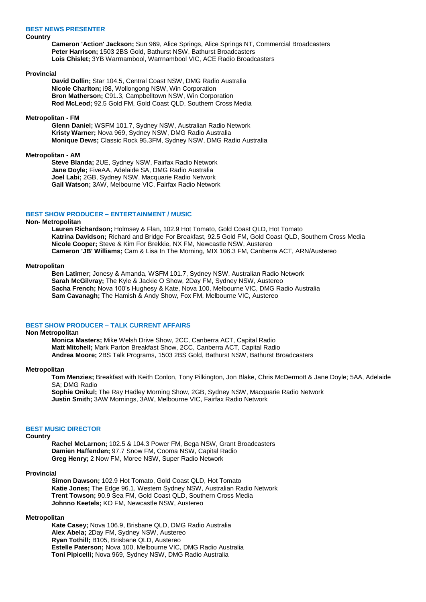## **BEST NEWS PRESENTER**

## **Country**

**Cameron 'Action' Jackson;** Sun 969, Alice Springs, Alice Springs NT, Commercial Broadcasters **Peter Harrison;** 1503 2BS Gold, Bathurst NSW, Bathurst Broadcasters **Lois Chislet;** 3YB Warrnambool, Warrnambool VIC, ACE Radio Broadcasters

### **Provincial**

**David Dollin;** Star 104.5, Central Coast NSW, DMG Radio Australia **Nicole Charlton;** i98, Wollongong NSW, Win Corporation **Bron Matherson;** C91.3, Campbelltown NSW, Win Corporation **Rod McLeod;** 92.5 Gold FM, Gold Coast QLD, Southern Cross Media

### **Metropolitan - FM**

**Glenn Daniel;** WSFM 101.7, Sydney NSW, Australian Radio Network **Kristy Warner;** Nova 969, Sydney NSW, DMG Radio Australia **Monique Dews;** Classic Rock 95.3FM, Sydney NSW, DMG Radio Australia

## **Metropolitan - AM**

**Steve Blanda;** 2UE, Sydney NSW, Fairfax Radio Network **Jane Doyle;** FiveAA, Adelaide SA, DMG Radio Australia **Joel Labi;** 2GB, Sydney NSW, Macquarie Radio Network **Gail Watson;** 3AW, Melbourne VIC, Fairfax Radio Network

## **BEST SHOW PRODUCER – ENTERTAINMENT / MUSIC**

### **Non- Metropolitan**

**Lauren Richardson;** Holmsey & Flan, 102.9 Hot Tomato, Gold Coast QLD, Hot Tomato **Katrina Davidson;** Richard and Bridge For Breakfast, 92.5 Gold FM, Gold Coast QLD, Southern Cross Media **Nicole Cooper;** Steve & Kim For Brekkie, NX FM, Newcastle NSW, Austereo **Cameron 'JB' Williams;** Cam & Lisa In The Morning, MIX 106.3 FM, Canberra ACT, ARN/Austereo

### **Metropolitan**

**Ben Latimer;** Jonesy & Amanda, WSFM 101.7, Sydney NSW, Australian Radio Network **Sarah McGilvray;** The Kyle & Jackie O Show, 2Day FM, Sydney NSW, Austereo **Sacha French;** Nova 100's Hughesy & Kate, Nova 100, Melbourne VIC, DMG Radio Australia **Sam Cavanagh;** The Hamish & Andy Show, Fox FM, Melbourne VIC, Austereo

## **BEST SHOW PRODUCER – TALK CURRENT AFFAIRS**

## **Non Metropolitan**

**Monica Masters;** Mike Welsh Drive Show, 2CC, Canberra ACT, Capital Radio **Matt Mitchell;** Mark Parton Breakfast Show, 2CC, Canberra ACT, Capital Radio **Andrea Moore;** 2BS Talk Programs, 1503 2BS Gold, Bathurst NSW, Bathurst Broadcasters

#### **Metropolitan**

**Tom Menzies;** Breakfast with Keith Conlon, Tony Pilkington, Jon Blake, Chris McDermott & Jane Doyle; 5AA, Adelaide SA; DMG Radio

**Sophie Onikul;** The Ray Hadley Morning Show, 2GB, Sydney NSW, Macquarie Radio Network **Justin Smith;** 3AW Mornings, 3AW, Melbourne VIC, Fairfax Radio Network

### **BEST MUSIC DIRECTOR**

## **Country**

**Rachel McLarnon;** 102.5 & 104.3 Power FM, Bega NSW, Grant Broadcasters **Damien Haffenden;** 97.7 Snow FM, Cooma NSW, Capital Radio **Greg Henry;** 2 Now FM, Moree NSW, Super Radio Network

### **Provincial**

**Simon Dawson;** 102.9 Hot Tomato, Gold Coast QLD, Hot Tomato **Katie Jones;** The Edge 96.1, Western Sydney NSW, Australian Radio Network **Trent Towson;** 90.9 Sea FM, Gold Coast QLD, Southern Cross Media **Johnno Keetels;** KO FM, Newcastle NSW, Austereo

## **Metropolitan**

**Kate Casey;** Nova 106.9, Brisbane QLD, DMG Radio Australia **Alex Abela;** 2Day FM, Sydney NSW, Austereo **Ryan Tothill;** B105, Brisbane QLD, Austereo **Estelle Paterson;** Nova 100, Melbourne VIC, DMG Radio Australia **Toni Pipicelli;** Nova 969, Sydney NSW, DMG Radio Australia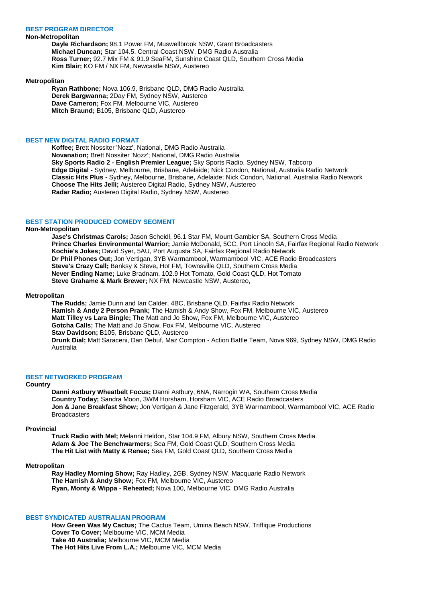### **BEST PROGRAM DIRECTOR**

## **Non-Metropolitan**

**Dayle Richardson;** 98.1 Power FM, Muswellbrook NSW, Grant Broadcasters **Michael Duncan;** Star 104.5, Central Coast NSW, DMG Radio Australia **Ross Turner;** 92.7 Mix FM & 91.9 SeaFM, Sunshine Coast QLD, Southern Cross Media **Kim Blair;** KO FM / NX FM, Newcastle NSW, Austereo

#### **Metropolitan**

**Ryan Rathbone;** Nova 106.9, Brisbane QLD, DMG Radio Australia **Derek Bargwanna;** 2Day FM, Sydney NSW, Austereo **Dave Cameron;** Fox FM, Melbourne VIC, Austereo **Mitch Braund;** B105, Brisbane QLD, Austereo

### **BEST NEW DIGITAL RADIO FORMAT**

**Koffee;** Brett Nossiter 'Nozz', National, DMG Radio Australia **Novanation;** Brett Nossiter 'Nozz'; National, DMG Radio Australia **Sky Sports Radio 2 - English Premier League;** Sky Sports Radio, Sydney NSW, Tabcorp **Edge Digital -** Sydney, Melbourne, Brisbane, Adelaide; Nick Condon, National, Australia Radio Network **Classic Hits Plus -** Sydney, Melbourne, Brisbane, Adelaide; Nick Condon, National, Australia Radio Network **Choose The Hits Jelli;** Austereo Digital Radio, Sydney NSW, Austereo **Radar Radio;** Austereo Digital Radio, Sydney NSW, Austereo

## **BEST STATION PRODUCED COMEDY SEGMENT**

## **Non-Metropolitan**

**Jase's Christmas Carols;** Jason Scheidl, 96.1 Star FM, Mount Gambier SA, Southern Cross Media **Prince Charles Environmental Warrior;** Jamie McDonald, 5CC, Port Lincoln SA, Fairfax Regional Radio Network **Kochie's Jokes;** David Syer, 5AU, Port Augusta SA, Fairfax Regional Radio Network **Dr Phil Phones Out;** Jon Vertigan, 3YB Warrnambool, Warrnambool VIC, ACE Radio Broadcasters **Steve's Crazy Call;** Banksy & Steve**,** Hot FM, Townsville QLD, Southern Cross Media **Never Ending Name;** Luke Bradnam, 102.9 Hot Tomato, Gold Coast QLD, Hot Tomato **Steve Grahame & Mark Brewer;** NX FM, Newcastle NSW, Austereo,

#### **Metropolitan**

**The Rudds;** Jamie Dunn and Ian Calder, 4BC, Brisbane QLD, Fairfax Radio Network **Hamish & Andy 2 Person Prank;** The Hamish & Andy Show, Fox FM, Melbourne VIC, Austereo **Matt Tilley vs Lara Bingle; The** Matt and Jo Show, Fox FM, Melbourne VIC, Austereo **Gotcha Calls;** The Matt and Jo Show, Fox FM, Melbourne VIC, Austereo **Stav Davidson;** B105, Brisbane QLD, Austereo **Drunk Dial;** Matt Saraceni, Dan Debuf, Maz Compton - Action Battle Team, Nova 969, Sydney NSW, DMG Radio Australia

#### **BEST NETWORKED PROGRAM**

### **Country**

**Danni Astbury Wheatbelt Focus;** Danni Astbury, 6NA, Narrogin WA, Southern Cross Media **Country Today;** Sandra Moon, 3WM Horsham, Horsham VIC, ACE Radio Broadcasters **Jon & Jane Breakfast Show;** Jon Vertigan & Jane Fitzgerald, 3YB Warrnambool, Warrnambool VIC, ACE Radio **Broadcasters** 

### **Provincial**

**Truck Radio with Mel;** Melanni Heldon, Star 104.9 FM, Albury NSW, Southern Cross Media **Adam & Joe The Benchwarmers;** Sea FM, Gold Coast QLD, Southern Cross Media **The Hit List with Matty & Renee;** Sea FM, Gold Coast QLD, Southern Cross Media

## **Metropolitan**

**Ray Hadley Morning Show;** Ray Hadley, 2GB, Sydney NSW, Macquarie Radio Network **The Hamish & Andy Show;** Fox FM, Melbourne VIC, Austereo **Ryan, Monty & Wippa - Reheated;** Nova 100, Melbourne VIC, DMG Radio Australia

### **BEST SYNDICATED AUSTRALIAN PROGRAM**

**How Green Was My Cactus;** The Cactus Team, Umina Beach NSW, Triffique Productions **Cover To Cover;** Melbourne VIC, MCM Media **Take 40 Australia;** Melbourne VIC, MCM Media **The Hot Hits Live From L.A.;** Melbourne VIC, MCM Media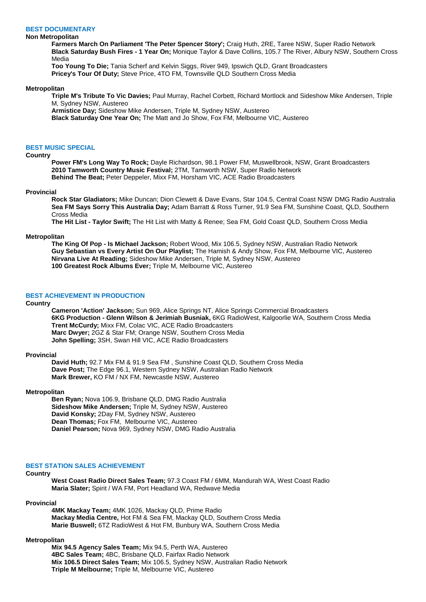## **BEST DOCUMENTARY**

### **Non Metropolitan**

**Farmers March On Parliament 'The Peter Spencer Story';** Craig Huth, 2RE, Taree NSW, Super Radio Network **Black Saturday Bush Fires - 1 Year On;** Monique Taylor & Dave Collins, 105.7 The River, Albury NSW, Southern Cross Media

**Too Young To Die;** Tania Scherf and Kelvin Siggs, River 949, Ipswich QLD, Grant Broadcasters **Pricey's Tour Of Duty;** Steve Price, 4TO FM, Townsville QLD Southern Cross Media

#### **Metropolitan**

**Triple M's Tribute To Vic Davies;** Paul Murray, Rachel Corbett, Richard Mortlock and Sideshow Mike Andersen, Triple M, Sydney NSW, Austereo

**Armistice Day;** Sideshow Mike Andersen, Triple M, Sydney NSW, Austereo

**Black Saturday One Year On;** The Matt and Jo Show, Fox FM, Melbourne VIC, Austereo

## **BEST MUSIC SPECIAL**

## **Country**

**Power FM's Long Way To Rock;** Dayle Richardson, 98.1 Power FM, Muswellbrook, NSW, Grant Broadcasters **2010 Tamworth Country Music Festival;** 2TM, Tamworth NSW, Super Radio Network **Behind The Beat;** Peter Deppeler, Mixx FM, Horsham VIC, ACE Radio Broadcasters

#### **Provincial**

**Rock Star Gladiators;** Mike Duncan; Dion Clewett & Dave Evans, Star 104.5, Central Coast NSW DMG Radio Australia **Sea FM Says Sorry This Australia Day;** Adam Barratt & Ross Turner, 91.9 Sea FM, Sunshine Coast, QLD, Southern Cross Media

**The Hit List - Taylor Swift;** The Hit List with Matty & Renee; Sea FM, Gold Coast QLD, Southern Cross Media

#### **Metropolitan**

**The King Of Pop - Is Michael Jackson;** Robert Wood, Mix 106.5, Sydney NSW, Australian Radio Network **Guy Sebastian vs Every Artist On Our Playlist;** The Hamish & Andy Show, Fox FM, Melbourne VIC, Austereo **Nirvana Live At Reading;** Sideshow Mike Andersen, Triple M, Sydney NSW, Austereo **100 Greatest Rock Albums Ever;** Triple M, Melbourne VIC, Austereo

## **BEST ACHIEVEMENT IN PRODUCTION**

## **Country**

**Cameron 'Action' Jackson;** Sun 969, Alice Springs NT, Alice Springs Commercial Broadcasters **6KG Production - Glenn Wilson & Jerimiah Busniak,** 6KG RadioWest, Kalgoorlie WA, Southern Cross Media **Trent McCurdy;** Mixx FM, Colac VIC, ACE Radio Broadcasters **Marc Dwyer;** 2GZ & Star FM; Orange NSW, Southern Cross Media **John Spelling;** 3SH, Swan Hill VIC, ACE Radio Broadcasters

## **Provincial**

**David Huth;** 92.7 Mix FM & 91.9 Sea FM , Sunshine Coast QLD, Southern Cross Media **Dave Post;** The Edge 96.1, Western Sydney NSW, Australian Radio Network **Mark Brewer,** KO FM / NX FM, Newcastle NSW, Austereo

### **Metropolitan**

**Ben Ryan;** Nova 106.9, Brisbane QLD, DMG Radio Australia **Sideshow Mike Andersen;** Triple M, Sydney NSW, Austereo **David Konsky;** 2Day FM, Sydney NSW, Austereo **Dean Thomas;** Fox FM, Melbourne VIC, Austereo **Daniel Pearson;** Nova 969, Sydney NSW, DMG Radio Australia

## **BEST STATION SALES ACHIEVEMENT**

### **Country**

**West Coast Radio Direct Sales Team;** 97.3 Coast FM / 6MM, Mandurah WA, West Coast Radio **Maria Slater;** Spirit / WA FM, Port Headland WA, Redwave Media

#### **Provincial**

**4MK Mackay Team;** 4MK 1026, Mackay QLD, Prime Radio **Mackay Media Centre,** Hot FM & Sea FM, Mackay QLD, Southern Cross Media **Marie Buswell;** 6TZ RadioWest & Hot FM, Bunbury WA, Southern Cross Media

#### **Metropolitan**

**Mix 94.5 Agency Sales Team;** Mix 94.5, Perth WA, Austereo **4BC Sales Team;** 4BC, Brisbane QLD, Fairfax Radio Network **Mix 106.5 Direct Sales Team;** Mix 106.5, Sydney NSW, Australian Radio Network **Triple M Melbourne;** Triple M, Melbourne VIC, Austereo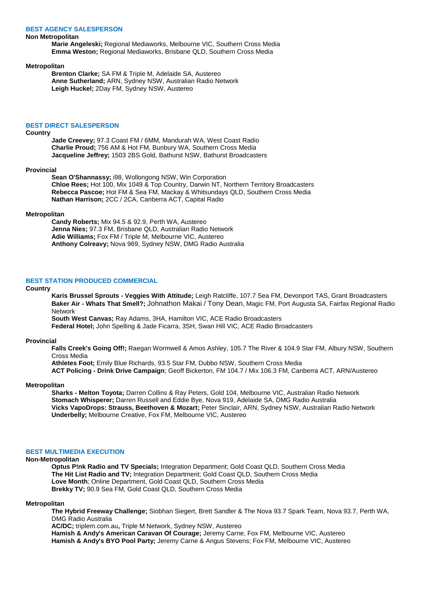### **BEST AGENCY SALESPERSON**

### **Non Metropolitan**

**Marie Angeleski;** Regional Mediaworks, Melbourne VIC, Southern Cross Media **Emma Weston;** Regional Mediaworks, Brisbane QLD, Southern Cross Media

### **Metropolitan**

**Brenton Clarke;** SA FM & Triple M, Adelaide SA, Austereo **Anne Sutherland;** ARN, Sydney NSW, Australian Radio Network **Leigh Huckel;** 2Day FM, Sydney NSW, Austereo

### **BEST DIRECT SALESPERSON**

## **Country**

**Jade Creevey;** 97.3 Coast FM / 6MM, Mandurah WA, West Coast Radio **Charlie Proud;** 756 AM & Hot FM, Bunbury WA, Southern Cross Media **Jacqueline Jeffrey;** 1503 2BS Gold, Bathurst NSW, Bathurst Broadcasters

#### **Provincial**

**Sean O'Shannassy;** i98, Wollongong NSW, Win Corporation **Chloe Rees;** Hot 100, Mix 1049 & Top Country, Darwin NT, Northern Territory Broadcasters **Rebecca Pascoe;** Hot FM & Sea FM, Mackay & Whitsundays QLD, Southern Cross Media **Nathan Harrison;** 2CC / 2CA, Canberra ACT, Capital Radio

#### **Metropolitan**

**Candy Roberts;** Mix 94.5 & 92.9, Perth WA, Austereo **Jenna Nies;** 97.3 FM, Brisbane QLD, Australian Radio Network **Adie Williams;** Fox FM / Triple M, Melbourne VIC, Austereo **Anthony Colreavy;** Nova 969, Sydney NSW, DMG Radio Australia

## **BEST STATION PRODUCED COMMERCIAL**

#### **Country**

**Karis Brussel Sprouts - Veggies With Attitude;** Leigh Ratcliffe, 107.7 Sea FM, Devonport TAS, Grant Broadcasters **Baker Air - Whats That Smell?;** Johnathon Makai / Tony Dean, Magic FM, Port Augusta SA, Fairfax Regional Radio **Network** 

**South West Canvas;** Ray Adams, 3HA, Hamilton VIC, ACE Radio Broadcasters

**Federal Hotel;** John Spelling & Jade Ficarra, 3SH, Swan Hill VIC, ACE Radio Broadcasters

### **Provincial**

**Falls Creek's Going Off!;** Raegan Wormwell & Amos Ashley, 105.7 The River & 104.9 Star FM, Albury NSW, Southern Cross Media

**Athletes Foot;** Emily Blue Richards, 93.5 Star FM, Dubbo NSW, Southern Cross Media

**ACT Policing - Drink Drive Campaign**; Geoff Bickerton, FM 104.7 / Mix 106.3 FM, Canberra ACT, ARN/Austereo

### **Metropolitan**

**Sharks - Melton Toyota;** Darren Collins & Ray Peters, Gold 104, Melbourne VIC, Australian Radio Network **Stomach Whisperer;** Darren Russell and Eddie Bye, Nova 919, Adelaide SA, DMG Radio Australia **Vicks VapoDrops: Strauss, Beethoven & Mozart;** Peter Sinclair, ARN, Sydney NSW, Australian Radio Network **Underbelly;** Melbourne Creative, Fox FM, Melbourne VIC, Austereo

## **BEST MULTIMEDIA EXECUTION**

## **Non-Metropolitan**

**Optus P!nk Radio and TV Specials;** Integration Department; Gold Coast QLD, Southern Cross Media **The Hit List Radio and TV;** Integration Department; Gold Coast QLD, Southern Cross Media **Love Month**; Online Department, Gold Coast QLD, Southern Cross Media **Brekky TV;** 90.9 Sea FM, Gold Coast QLD, Southern Cross Media

## **Metropolitan**

**The Hybrid Freeway Challenge;** Siobhan Siegert, Brett Sandler & The Nova 93.7 Spark Team, Nova 93.7, Perth WA, DMG Radio Australia

**AC/DC;** triplem.com.au**,** Triple M Network, Sydney NSW, Austereo

**Hamish & Andy's American Caravan Of Courage;** Jeremy Carne, Fox FM, Melbourne VIC, Austereo **Hamish & Andy's BYO Pool Party;** Jeremy Carne & Angus Stevens; Fox FM, Melbourne VIC, Austereo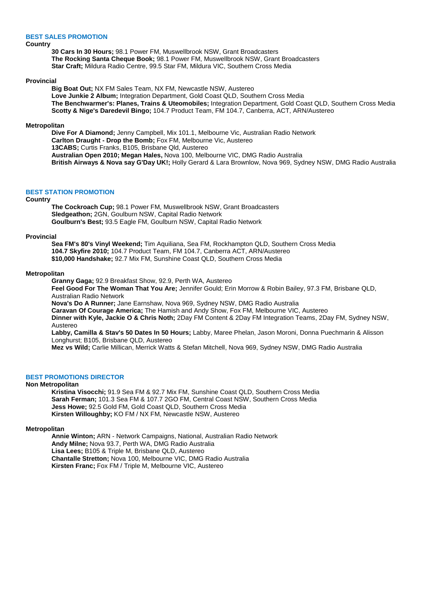## **BEST SALES PROMOTION**

## **Country**

**30 Cars In 30 Hours;** 98.1 Power FM, Muswellbrook NSW, Grant Broadcasters **The Rocking Santa Cheque Book;** 98.1 Power FM, Muswellbrook NSW, Grant Broadcasters **Star Craft;** Mildura Radio Centre, 99.5 Star FM, Mildura VIC, Southern Cross Media

### **Provincial**

**Big Boat Out;** NX FM Sales Team, NX FM, Newcastle NSW, Austereo **Love Junkie 2 Album;** Integration Department, Gold Coast QLD, Southern Cross Media **The Benchwarmer's: Planes, Trains & Uteomobiles;** Integration Department, Gold Coast QLD, Southern Cross Media **Scotty & Nige's Daredevil Bingo;** 104.7 Product Team, FM 104.7, Canberra, ACT, ARN/Austereo

### **Metropolitan**

**Dive For A Diamond;** Jenny Campbell, Mix 101.1, Melbourne Vic, Australian Radio Network **Carlton Draught - Drop the Bomb;** Fox FM, Melbourne Vic, Austereo **13CABS;** Curtis Franks, B105, Brisbane Qld, Austereo **Australian Open 2010; Megan Hales,** Nova 100, Melbourne VIC, DMG Radio Australia **British Airways & Nova say G'Day UK!;** Holly Gerard & Lara Brownlow, Nova 969, Sydney NSW, DMG Radio Australia

## **BEST STATION PROMOTION**

## **Country**

**The Cockroach Cup;** 98.1 Power FM, Muswellbrook NSW, Grant Broadcasters **Sledgeathon;** 2GN, Goulburn NSW, Capital Radio Network **Goulburn's Best;** 93.5 Eagle FM, Goulburn NSW, Capital Radio Network

## **Provincial**

**Sea FM's 80's Vinyl Weekend;** Tim Aquiliana, Sea FM, Rockhampton QLD, Southern Cross Media **104.7 Skyfire 2010;** 104.7 Product Team, FM 104.7, Canberra ACT, ARN/Austereo **\$10,000 Handshake;** 92.7 Mix FM, Sunshine Coast QLD, Southern Cross Media

## **Metropolitan**

**Granny Gaga;** 92.9 Breakfast Show, 92.9, Perth WA, Austereo

**Feel Good For The Woman That You Are;** Jennifer Gould; Erin Morrow & Robin Bailey, 97.3 FM, Brisbane QLD, Australian Radio Network

**Nova's Do A Runner;** Jane Earnshaw, Nova 969, Sydney NSW, DMG Radio Australia

**Caravan Of Courage America;** The Hamish and Andy Show, Fox FM, Melbourne VIC, Austereo

**Dinner with Kyle, Jackie O & Chris Noth;** 2Day FM Content & 2Day FM Integration Teams, 2Day FM, Sydney NSW, Austereo

**Labby, Camilla & Stav's 50 Dates In 50 Hours;** Labby, Maree Phelan, Jason Moroni, Donna Puechmarin & Alisson Longhurst; B105, Brisbane QLD, Austereo

**Mez vs Wild;** Carlie Millican, Merrick Watts & Stefan Mitchell, Nova 969, Sydney NSW, DMG Radio Australia

## **BEST PROMOTIONS DIRECTOR**

### **Non Metropolitan**

**Kristina Visocchi;** 91.9 Sea FM & 92.7 Mix FM, Sunshine Coast QLD, Southern Cross Media **Sarah Ferman;** 101.3 Sea FM & 107.7 2GO FM, Central Coast NSW, Southern Cross Media **Jess Howe;** 92.5 Gold FM, Gold Coast QLD, Southern Cross Media **Kirsten Willoughby;** KO FM / NX FM, Newcastle NSW, Austereo

## **Metropolitan**

**Annie Winton;** ARN - Network Campaigns, National, Australian Radio Network **Andy Milne;** Nova 93.7, Perth WA, DMG Radio Australia **Lisa Lees;** B105 & Triple M, Brisbane QLD, Austereo **Chantalle Stretton;** Nova 100, Melbourne VIC, DMG Radio Australia **Kirsten Franc;** Fox FM / Triple M, Melbourne VIC, Austereo